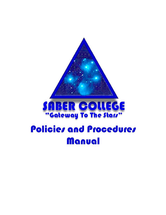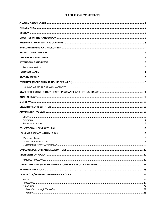### **TABLE OF CONTENTS**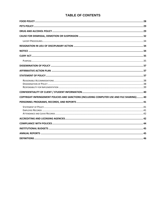### **TABLE OF CONTENTS**

| COPYRIGHT INFRINGEMENT POLICIES AND SANCTIONS (INCLUDING COMPUTER USE AND FILE SHARING)  40 |  |
|---------------------------------------------------------------------------------------------|--|
|                                                                                             |  |
|                                                                                             |  |
|                                                                                             |  |
|                                                                                             |  |
|                                                                                             |  |
|                                                                                             |  |
|                                                                                             |  |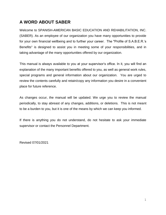# <span id="page-3-0"></span>**A WORD ABOUT SABER**

Welcome to SPANISH-AMERICAN BASIC EDUCATION AND REHABILITATION, INC. (SABER). As an employee of our organization you have many opportunities to provide for your own financial wellbeing and to further your career. The "Profile of S.A.B.E.R.'s Benefits" is designed to assist you in meeting some of your responsibilities, and in taking advantage of the many opportunities offered by our organization.

This manual is always available to you at your supervisor's office. In it, you will find an explanation of the many important benefits offered to you, as well as general work rules, special programs and general information about our organization. You are urged to review the contents carefully and retain/copy any information you desire in a convenient place for future reference.

As changes occur, the manual will be updated. We urge you to review the manual periodically, to stay abreast of any changes, additions, or deletions. This is not meant to be a burden to you, but it is one of the means by which we can keep you informed.

If there is anything you do not understand, do not hesitate to ask your immediate supervisor or contact the Personnel Department.

Revised 07/01/2021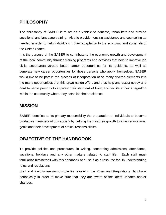# <span id="page-4-0"></span>**PHILOSOPHY**

The philosophy of SABER is to act as a vehicle to educate, rehabilitate and provide vocational and language training. Also to provide housing assistance and counseling as needed in order to help individuals in their adaptation to the economic and social life of the United States.

It is the purpose of the SABER to contribute to the economic growth and development of the local community through training programs and activities that help to improve job skills, secure/retain/create better career opportunities for its residents, as well as generate new career opportunities for those persons who apply themselves. SABER would like to be part in the process of incorporation of so many diverse elements into the many opportunities that this great nation offers and thus help and assist needy and hard to serve persons to improve their standard of living and facilitate their integration within the community where they establish their residence.

## <span id="page-4-1"></span>**MISSION**

SABER identifies as its primary responsibility the preparation of individuals to become productive members of this society by helping them in their growth to attain educational goals and their development of ethical responsibilities.

# <span id="page-4-2"></span>**OBJECTIVE OF THE HANDBOOOK**

To provide policies and procedures, in writing, concerning admissions, attendance, vacations, holidays and any other matters related to staff life. Each staff must familiarize him/herself with this handbook and use it as a resource tool in understanding rules and regulations.

Staff and Faculty are responsible for reviewing the Rules and Regulations Handbook periodically in order to make sure that they are aware of the latest updates and/or changes.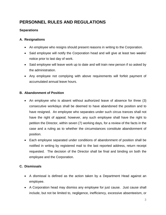# <span id="page-5-0"></span>**PERSONNEL RULES AND REGULATIONS**

#### **Separations**

#### **A. Resignations**

- An employee who resigns should present reasons in writing to the Corporation.
- Said employee will notify the Corporation head and will give at least two weeks' notice prior to last day of work.
- Said employee will leave work up to date and will train new person if so asked by the administration.
- Any employee not complying with above requirements will forfeit payment of accumulated annual leave hours.

#### **B. Abandonment of Position**

- An employee who is absent without authorized leave of absence for three (3) consecutive workdays shall be deemed to have abandoned the position and to have resigned. An employee who separates under such circus trances shall not have the right of appeal; however, any such employee shall have the right to petition the Director, within seven (7) working days, for a review of the facts in the case and a ruling as to whether the circumstances constitute abandonment of position.
- Each employee separated under conditions of abandonment of position shall be notified in writing by registered mail to the last reported address, return receipt requested. The decision of the Director shall be final and binding on both the employee and the Corporation.

#### **C. Dismissals**

- A dismissal is defined as the action taken by a Department Head against an employee.
- A Corporation head may dismiss any employee for just cause. Just cause shall include, but not be limited to, negligence, inefficiency, excessive absenteeism, or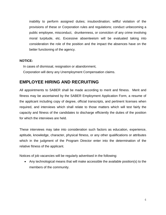inability to perform assigned duties; insubordination; willful violation of the provisions of these or Corporation rules and regulations; conduct unbecoming a public employee, misconduct, drunkenness, or conviction of any crime involving moral turpitude, etc. Excessive absenteeism will be evaluated taking into consideration the role of the position and the impact the absences have on the better functioning of the agency.

#### **NOTICE:**

 In cases of dismissal, resignation or abandonment, Corporation will deny any Unemployment Compensation claims.

### <span id="page-6-0"></span>**EMPLOYEE HIRING AND RECRUITING**

All appointments to SABER shall be made according to merit and fitness. Merit and fitness may be ascertained by the SABER Employment Application Form, a resume of the applicant including copy of degree, official transcripts, and pertinent licenses when required, and interviews which shall relate to those matters which will test fairly the capacity and fitness of the candidates to discharge efficiently the duties of the position for which the interviews are held.

These interviews may take into consideration such factors as education, experience, aptitude, knowledge, character, physical fitness, or any other qualifications or attributes which in the judgment of the Program Director enter into the determination of the relative fitness of the applicant.

Notices of job vacancies will be regularly advertised in the following:

 Any technological means that will make accessible the available position(s) to the members of the community.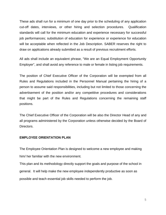These ads shall run for a minimum of one day prior to the scheduling of any application cut-off dates, interviews, or other hiring and selection procedures. Qualification standards will call for the minimum education and experience necessary for successful job performances; substitution of education for experience or experience for education will be acceptable when reflected in the Job Description. SABER reserves the right to draw on applications already submitted as a result of previous recruitment efforts.

All ads shall include an equivalent phrase, "We are an Equal Employment Opportunity Employer", and shall avoid any reference to male or female in listing job requirements.

The position of Chief Executive Officer of the Corporation will be exempted from all Rules and Regulations included in the Personnel Manual pertaining the hiring of a person to assume said responsibilities, including but not limited to those concerning the advertisement of the position and/or any competitive procedures and considerations that might be part of the Rules and Regulations concerning the remaining staff positions.

The Chief Executive Officer of the Corporation will be also the Director Head of any and all programs administered by the Corporation unless otherwise decided by the Board of Directors.

#### **EMPLOYEE ORIENTATION PLAN**

The Employee Orientation Plan is designed to welcome a new employee and making him/ her familiar with the new environment.

This plan and its methodology directly support the goals and purpose of the school in general. It will help make the new employee independently productive as soon as possible and teach essential job skills needed to perform the job.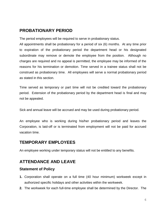# <span id="page-8-0"></span>**PROBATIONARY PERIOD**

The period employees will be required to serve in probationary status.

All appointments shall be probationary for a period of six (6) months. At any time prior to expiration of the probationary period the department head or his designated subordinate may remove or demote the employee from the position. Although no charges are required and no appeal is permitted, the employee may be informed of the reasons for his termination or demotion. Time served in a trainee status shall not be construed as probationary time. All employees will serve a normal probationary period as stated in this section.

Time served as temporary or part time will not be credited toward the probationary period. Extension of the probationary period by the department head is final and may not be appealed.

Sick and annual leave will be accrued and may be used during probationary period.

An employee who is working during his/her probationary period and leaves the Corporation, is laid-off or is terminated from employment will not be paid for accrued vacation time.

## <span id="page-8-1"></span>**TEMPORARY EMPLOYEES**

An employee working under temporary status will not be entitled to any benefits.

## <span id="page-8-2"></span>**ATTENDANCE AND LEAVE**

#### <span id="page-8-3"></span>**Statement of Policy**

- **1.** Corporation shall operate on a full time (40 hour minimum) workweek except in authorized specific holidays and other activities within the workweek.
- **2.** The workweek for each full-time employee shall be determined by the Director. The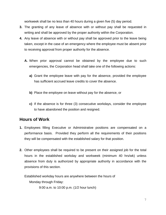workweek shall be no less than 40 hours during a given five (5) day period.

- **3.** The granting of any leave of absence with or without pay shall be requested in writing and shall be approved by the proper authority within the Corporation.
- **4.** Any leave of absence with or without pay shall be approved prior to the leave being taken, except in the case of an emergency where the employee must be absent prior to receiving approval from proper authority for the absence.
	- **A.** When prior approval cannot be obtained by the employee due to such emergencies, the Corporation head shall take one of the following actions:
		- **a)** Grant the employee leave with pay for the absence, provided the employee has sufficient accrued leave credits to cover the absence.
		- **b)** Place the employee on leave without pay for the absence, or
		- **c)** If the absence is for three (3) consecutive workdays, consider the employee to have abandoned the position and resigned.

## <span id="page-9-0"></span>**Hours of Work**

- **1.** Employees filling Executive or Administrative positions are compensated on a performance basis. Provided they perform all the requirements of their positions they will be compensated with the established salary for that position.
- **2.** Other employees shall be required to be present on their assigned job for the total hours in the established workday and workweek (minimum 40 hrs/wk) unless absence from duty is authorized by appropriate authority in accordance with the provisions of this section.

Established workday hours are anywhere between the hours of Monday through Friday:

9:00 a.m. to 10:00 p.m. (1/2 hour lunch)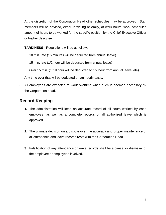At the discretion of the Corporation Head other schedules may be approved. Staff members will be advised, either in writing or orally, of work hours, work schedules amount of hours to be worked for the specific position by the Chief Executive Officer or his/her designee.

**TARDINESS** - Regulations will be as follows:

10 min. late (15 minutes will be deducted from annual leave)

15 min. late (1/2 hour will be deducted from annual leave)

Over 15 min. (1 full hour will be deducted to 1/2 hour from annual leave late)

Any time over that will be deducted on an hourly basis.

**3.** All employees are expected to work overtime when such is deemed necessary by the Corporation head.

# <span id="page-10-0"></span>**Record Keeping**

- **1.** The administration will keep an accurate record of all hours worked by each employee, as well as a complete records of all authorized leave which is approved.
- **2.** The ultimate decision on a dispute over the accuracy and proper maintenance of all attendance and leave records rests with the Corporation Head.
- **3.** Falsification of any attendance or leave records shall be a cause for dismissal of the employee or employees involved.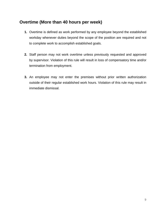# <span id="page-11-0"></span>**Overtime (More than 40 hours per week)**

- **1.** Overtime is defined as work performed by any employee beyond the established workday whenever duties beyond the scope of the position are required and not to complete work to accomplish established goals.
- **2.** Staff person may not work overtime unless previously requested and approved by supervisor. Violation of this rule will result in loss of compensatory time and/or termination from employment.
- **3.** An employee may not enter the premises without prior written authorization outside of their regular established work hours. Violation of this rule may result in immediate dismissal.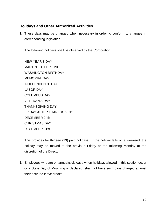### <span id="page-12-0"></span>**Holidays and Other Authorized Activities**

**1.** These days may be changed when necessary in order to conform to changes in corresponding legislation.

The following holidays shall be observed by the Corporation:

NEW YEAR'S DAY MARTIN LUTHER KING WASHINGTON BIRTHDAY MEMORIAL DAY INDEPENDENCE DAY LABOR DAY COLUMBUS DAY VETERAN'S DAY THANKSGIVING DAY FRIDAY AFTER THANKSGIVING DECEMBER 24th CHRISTMAS DAY DECEMBER 31st

This provides for thirteen (13) paid holidays. If the holiday falls on a weekend, the holiday may be moved to the previous Friday or the following Monday at the discretion of the Director.

**2.** Employees who are on annual/sick leave when holidays allowed in this section occur or a State Day of Mourning is declared, shall not have such days charged against their accrued leave credits.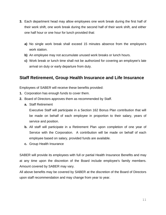- **3.** Each department head may allow employees one work break during the first half of their work shift, one work break during the second half of their work shift, and either one half hour or one hour for lunch provided that:
	- **a)** No single work break shall exceed 15 minutes absence from the employee's work station.
	- **b)** An employee may not accumulate unused work breaks or lunch hours.
	- **c)** Work break or lunch time shall not be authorized for covering an employee's late arrival on duty or early departure from duty.

## <span id="page-13-0"></span>**Staff Retirement, Group Health Insurance and Life Insurance**

Employees of SABER will receive these benefits provided:

- **1.** Corporation has enough funds to cover them.
- **2.** Board of Directors approves them as recommended by Staff.
	- **a.** Staff Retirement

Executive Staff will participate in a Section 162 Bonus Plan contribution that will be made on behalf of each employee in proportion to their salary, years of service and position.

- **b.** All staff will participate in a Retirement Plan upon completion of one year of Service with the Corporation. A contribution will be made on behalf of each employee based on salary, provided funds are available.
- **c.** Group Health Insurance

SABER will provide its employees with full or partial Health Insurance Benefits and may at any time upon the discretion of the Board include employee's family members. Amount covered by SABER may vary.

All above benefits may be covered by SABER at the discretion of the Board of Directors upon staff recommendation and may change from year to year.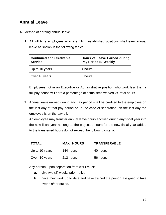# <span id="page-14-0"></span>**Annual Leave**

- **A.** Method of earning annual leave
	- **1.** All full time employees who are filling established positions shall earn annual leave as shown in the following table:

| <b>Continued and Creditable</b><br><b>Service</b> | <b>Hours of Leave Earned during</b><br><b>Pay Period Bi-Weekly</b> |
|---------------------------------------------------|--------------------------------------------------------------------|
| Up to 10 years                                    | 4 hours                                                            |
| Over 10 years                                     | 6 hours                                                            |

Employees not in an Executive or Administrative position who work less than a full pay period will earn a percentage of actual time worked vs. total hours.

**2.** Annual leave earned during any pay period shall be credited to the employee on the last day of that pay period or, in the case of separation, on the last day the employee is on the payroll.

An employee may transfer annual leave hours accrued during any fiscal year into the new fiscal year as long as the projected hours for the new fiscal year added to the transferred hours do not exceed the following criteria:

| <b>TOTAL</b>   | <b>MAX. HOURS</b> | <b>TRANSFERABLE</b> |
|----------------|-------------------|---------------------|
| Up to 10 years | 144 hours         | 40 hours            |
| Over 10 years  | 212 hours         | 56 hours            |

Any person, upon separation from work must:

- **a.** give two (2) weeks prior notice.
- **b.** have their work up to date and have trained the person assigned to take over his/her duties.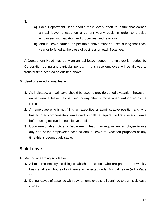- **3.**
- **a)** Each Department Head should make every effort to insure that earned annual leave is used on a current yearly basis in order to provide employees with vacation and proper rest and relaxation.
- **b)** Annual leave earned, as per table above must be used during that fiscal year or forfeited at the close of business on each fiscal year.

A Department Head may deny an annual leave request if employee is needed by Corporation during any particular period. In this case employee will be allowed to transfer time accrued as outlined above.

- **B.** Used of earned annual leave
	- **1.** As indicated, annual leave should be used to provide periodic vacation; however, earned annual leave may be used for any other purpose when authorized by the Director.
	- **2.** An employee who is not filling an executive or administrative position and who has accrued compensatory leave credits shall be required to first use such leave before using accrued annual leave credits.
	- **3.** Upon reasonable notice, a Department Head may require any employee to use any part of the employee's accrued annual leave for vacation purposes at any time this is deemed advisable.

## <span id="page-15-0"></span>**Sick Leave**

- **A.** Method of earning sick leave
	- **1.** All full time employees filling established positions who are paid on a biweekly basis shall earn hours of sick leave as reflected under Annual Leave (A.L.) Page 11.
	- **2.** During leaves of absence with pay, an employee shall continue to earn sick leave credits.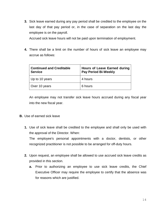**3.** Sick leave earned during any pay period shall be credited to the employee on the last day of that pay period or, in the case of separation on the last day the employee is on the payroll.

Accrued sick leave hours will not be paid upon termination of employment.

**4.** There shall be a limit on the number of hours of sick leave an employee may accrue as follows:

| <b>Continued and Creditable</b><br><b>Service</b> | <b>Hours of Leave Earned during</b><br><b>Pay Period Bi-Weekly</b> |
|---------------------------------------------------|--------------------------------------------------------------------|
| Up to 10 years                                    | 4 hours                                                            |
| Over 10 years                                     | 6 hours                                                            |

An employee may not transfer sick leave hours accrued during any fiscal year into the new fiscal year.

- **B.** Use of earned sick leave
	- **1.** Use of sick leave shall be credited to the employee and shall only be used with the approval of the Director. When:

The employee's personal appointments with a doctor, dentists, or other recognized practitioner is not possible to be arranged for off-duty hours.

- **2.** Upon request, an employee shall be allowed to use accrued sick leave credits as provided in this section.
	- **a.** Prior to authorizing an employee to use sick leave credits, the Chief Executive Officer may require the employee to certify that the absence was for reasons which are justified.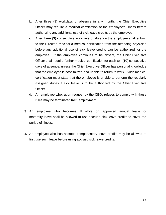- **b.** After three (3) workdays of absence in any month, the Chief Executive Officer may require a medical certification of the employee's illness before authorizing any additional use of sick leave credits by the employee.
- **c.** After three (3) consecutive workdays of absence the employee shall submit to the Director/Principal a medical certification from the attending physician before any additional use of sick leave credits can be authorized for the employee. If the employee continues to be absent, the Chief Executive Officer shall require further medical certification for each ten (10) consecutive days of absence, unless the Chief Executive Officer has personal knowledge that the employee is hospitalized and unable to return to work. Such medical certification must state that the employee is unable to perform the regularly assigned duties if sick leave is to be authorized by the Chief Executive Officer.
- **d.** An employee who, upon request by the CEO, refuses to comply with these rules may be terminated from employment.
- **3.** An employee who becomes ill while on approved annual leave or maternity leave shall be allowed to use accrued sick leave credits to cover the period of illness.
- **4.** An employee who has accrued compensatory leave credits may be allowed to first use such leave before using accrued sick leave credits.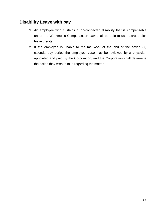# <span id="page-18-0"></span>**Disability Leave with pay**

- **1.** An employee who sustains a job-connected disability that is compensable under the Workmen's Compensation Law shall be able to use accrued sick leave credits.
- **2.** If the employee is unable to resume work at the end of the seven (7) calendar-day period the employee' case may be reviewed by a physician appointed and paid by the Corporation, and the Corporation shall determine the action they wish to take regarding the matter.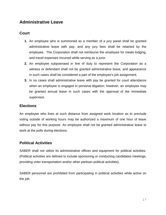# <span id="page-19-0"></span>**Administrative Leave**

### <span id="page-19-1"></span>**Court**

- **1.** An employee who is summoned as a member of a jury panel shall be granted administrative leave with pay, and any jury fees shall be retained by the employee. The Corporation shall not reimburse the employee for meals lodging, and travel expenses incurred while serving as a juror.
- **2.** An employee subpoenaed in line of duty to represent the Corporation as a witness or defendant shall not be granted administrative leave, and appearance in such cases shall be considered a part of the employee's job assignment.
- **3.** In no cases shall administrative leave with pay be granted for court attendance when an employee is engaged in personal litigation; however, an employee may be granted annual leave in such cases with the approval of the immediate supervisor.

### <span id="page-19-2"></span>**Elections**

An employee who lives at such distance from assigned work location as to preclude voting outside of working hours may be authorized a maximum of one hour of leave without pay for this purpose. An employee shall not be granted administrative leave to work at the polls during elections.

### <span id="page-19-3"></span>**Political Activities**

SABER shall not utilize its administrative offices and equipment for political activities. (Political activities are defined to include sponsoring or conducting candidates meetings, providing voter transportation and/or other partisan political activities).

SABER personnel are prohibited from participating in political activities while active on the job.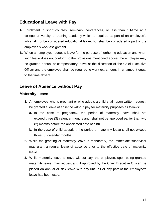# <span id="page-20-0"></span>**Educational Leave with Pay**

- **A.** Enrollment in short courses, seminars, conferences, or less than full-time at a college, university, or training academy which is required as part of an employee's job shall not be considered educational leave, but shall be considered a part of the employee's work assignment.
- **B.** When an employee requests leave for the purpose of furthering education and when such leave does not conform to the provisions mentioned above, the employee may be granted annual or compensatory leave at the discretion of the Chief Executive Officer and the employee shall be required to work extra hours in an amount equal to the time absent.

# <span id="page-20-1"></span>**Leave of Absence without Pay**

### <span id="page-20-2"></span>**Maternity Leave**

- **1.** An employee who is pregnant or who adopts a child shall, upon written request, be granted a leave of absence without pay for maternity purposes as follows:
	- **a.** In the case of pregnancy, the period of maternity leave shall not exceed three (3) calendar months and shall not be approved earlier than two (2) months before the anticipated date of birth.
	- **b.** In the case of child adoption, the period of maternity leave shall not exceed three (3) calendar months.
- **2.** While the granting of maternity leave is mandatory, the immediate supervisor may grant a regular leave of absence prior to the effective date of maternity leave.
- **3.** While maternity leave is leave without pay, the employee, upon being granted maternity leave, may request and if approved by the Chief Executive Officer, be placed on annual or sick leave with pay until all or any part of the employee's leave has been used.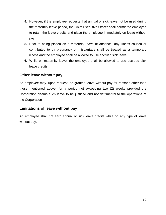- **4.** However, if the employee requests that annual or sick leave not be used during the maternity leave period, the Chief Executive Officer shall permit the employee to retain the leave credits and place the employee immediately on leave without pay.
- **5.** Prior to being placed on a maternity leave of absence, any illness caused or contributed to by pregnancy or miscarriage shall be treated as a temporary illness and the employee shall be allowed to use accrued sick leave.
- **6.** While on maternity leave, the employee shall be allowed to use accrued sick leave credits.

### <span id="page-21-0"></span>**Other leave without pay**

An employee may, upon request, be granted leave without pay for reasons other than those mentioned above, for a period not exceeding two (2) weeks provided the Corporation deems such leave to be justified and not detrimental to the operations of the Corporation

### <span id="page-21-1"></span>**Limitations of leave without pay**

An employee shall not earn annual or sick leave credits while on any type of leave without pay.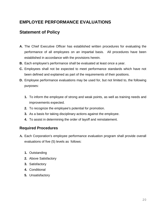# <span id="page-22-0"></span>**EMPLOYEE PERFORMANCE EVALUATIONS**

# <span id="page-22-1"></span>**Statement of Policy**

- **A.** The Chief Executive Officer has established written procedures for evaluating the performance of all employees on an impartial basis. All procedures have been established in accordance with the provisions herein.
- **B.** Each employee's performance shall be evaluated at least once a year.
- **C.** Employees shall not be expected to meet performance standards which have not been defined and explained as part of the requirements of their positions.
- **D.** Employee performance evaluations may be used for, but not limited to, the following purposes:
	- **1.** To inform the employee of strong and weak points, as well as training needs and improvements expected.
	- **2.** To recognize the employee's potential for promotion.
	- **3.** As a basis for taking disciplinary actions against the employee.
	- **4.** To assist in determining the order of layoff and reinstatement.

### <span id="page-22-2"></span>**Required Procedures**

- **A.** Each Corporation's employee performance evaluation program shall provide overall evaluations of five (5) levels as follows:
	- **1.** Outstanding
	- **2.** Above Satisfactory
	- **3.** Satisfactory
	- **4.** Conditional
	- **5.** Unsatisfactory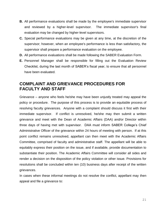- **B.** All performance evaluations shall be made by the employee's immediate supervisor and reviewed by a higher-level supervisor. The immediate supervisor's final evaluation may be changed by higher-level supervisors.
- **C.** Special performance evaluations may be given at any time, at the discretion of the supervisor; however, when an employee's performance is less than satisfactory, the supervisor shall prepare a performance evaluation on the employee.
- **D.** All performance evaluations shall be made following the SABER Evaluation Form.
- **E.** Personnel Manager shall be responsible for filling out the Evaluation Review Checklist, during the last month of SABER's fiscal year, to ensure that all personnel have been evaluated.

# <span id="page-23-0"></span>**COMPLAINT AND GRIEVANCE PROCEDURES FOR FACULTY AND STAFF**

Grievance – anyone who feels he/she may have been unjustly treated may appeal the policy or procedure. The purpose of this process is to provide an equitable process of resolving faculty grievances. Anyone with a complaint should discuss it first with their immediate supervisor. If conflict is unresolved, he/she may then submit a written grievance and meet with the Dean of Academic Affairs (DAA) and/or Director within three days of having met with supervisor. DAA must inform SABER College's Chief Administrative Officer of the grievance within 24 hours of meeting with person. If at this point conflict remains unresolved, appellant can then meet with the Academic Affairs Committee, comprised of faculty and administrative staff. The appellant will be able to equitably express their position on the issue, and if available, provide documentation to substantiate their position. The Academic Affairs Committee will consider all sides and render a decision on the disposition of the policy violation or other issue. Provisions for resolutions shall be concluded within ten (10) business days after receipt of the written grievances.

In cases when these informal meetings do not resolve the conflict, appellant may then appeal and file a grievance to: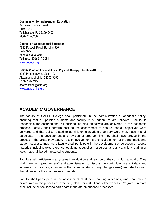#### **Commission for Independent Education**

325 West Gaines Street Suite 1414 Tallahassee, FL 32399-0400 (850) 245-3200

#### **Council on Occupational Education**

7840 Roswell Road, Building 300 Suite 325 Atlanta, Ga. 30350 Toll free: (800) 917-2081 [www.council.org](http://www.council.org/)

#### **Commission on Accreditation in Physical Therapy Education (CAPTE)**

3030 Potomac Ave., Suite 100 Alexandria, Virginia 22305-3085 (703) 706-3245 accreditation@apta.org www.capteonline.org

# **ACADEMIC GOVERNANCE**

The faculty of SABER College shall participate in the administration of academic policy, ensuring that all policies students and faculty must adhere to are followed. Faculty is responsible for ensuring that all outlined learning objectives are delivered in the academic process. Faculty shall perform post course assessment to ensure that all objectives were delivered and that policy related to administering academic delivery were met. Faculty shall participate in the development and revision of programming they shall have prevue in the process in the areas they teach. Faculty involvement is a critical element of programmatic and student success. Inasmuch, faculty shall participate in the development or selection of course materials including text, reference, equipment, supplies, resources, and any ancillary reading or tools that shall be administered to students.

Faculty shall participate in a systematic evaluation and revision of the curriculum annually. They shall meet with program staff and administration to discuss the curriculum, present data and information concerning changes in the career of study if any changes exist) and shall explain the rationale for the changes recommended.

Faculty shall participate in the assessment of student learning outcomes, and shall play a pivotal role in the process of executing plans for institutional effectiveness. Program Directors shall include all faculties to participate in the aforementioned processes.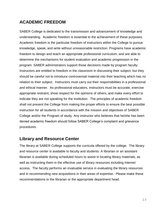# <span id="page-25-0"></span>**ACADEMIC FREEDOM**

SABER College is dedicated to the transmission and advancement of knowledge and understanding. Academic freedom is essential to the achievement of these purposes. Academic freedom is the particular freedom of instructors within the College to pursue knowledge, speak, and write without unreasonable restriction. Programs have academic freedom to design and teach an appropriate professional curriculum, and are able to determine the mechanisms for student evaluation and academic progression in the program. SABER administrators support those decisions made by program faculty. Instructors are entitled to freedom in the classroom in discussing their subject, but they should be careful not to introduce controversial material into their teaching which has no relation to their subject. Instructors must carry out their responsibilities in a professional and ethical manner. As professional educators, instructors must be accurate, exercise appropriate restraint, show respect for the opinions of others, and make every effort to indicate they are not speaking for the institution. The principles of academic freedom shall not prevent the College from making the proper efforts to ensure the best possible instruction for all students in accordance with the mission and objectives of SABER College and/or the Program of study. Any instructor who believes that he/she has been denied academic freedom should follow SABER College's complaint and grievance procedures.

## **Library and Resource Center**

The library at SABER College supports the curricula offered by the college. The library and resource center is available to faculty and students. A librarian or an assistant librarian is available during scheduled hours to assist in locating library materials, as well as instructing them in the effective use of library resources including Internet access. The faculty performs an invaluable service in evaluating the library resources and in recommending new acquisitions in their areas of expertise. Please make these recommendations to the librarian or the appropriate department head.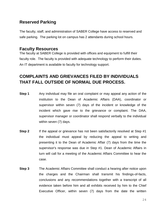## **Reserved Parking**

The faculty, staff, and administration of SABER College have access to reserved and safe parking. The parking lot on campus has 2 attendants during school hours.

### **Faculty Resources**

The faculty at SABER College is provided with offices and equipment to fulfill their faculty role. The faculty is provided with adequate technology to perform their duties. An IT department is available to faculty for technology support.

# **COMPLAINTS AND GRIEVANCES FILED BY INDIVIDUALS THAT FALL OUTSIDE OF NORMAL DUE PROCESS.**

- **Step 1** Any individual may file an oral complaint or may appeal any action of the institution to the Dean of Academic Affairs (DAA), coordinator or supervisor within seven (7) days of the incident or knowledge of the incident which gave rise to the grievance or complaint. The DAA, supervisor manager or coordinator shall respond verbally to the individual within seven (7) days.
- **Step 2** If the appeal or grievance has not been satisfactorily resolved at Step #1 the individual must appeal by reducing the appeal to writing and presenting it to the Dean of Academic Affair (7) days from the time the supervisor's response was due in Step #1. Dean of Academic Affairs in turn will call for a meeting of the Academic Affairs Committee to hear the case.
- **Step 3** The Academic Affairs Committee shall conduct a hearing after notice upon the charges and the Chairman shall transmit his findings-of-facts, conclusions and any recommendations together with a transcript of all evidence taken before him and all exhibits received by him to the Chief Executive Officer, within seven (7) days from the date the written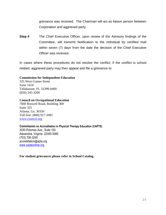grievance was received. The Chairman will act as liaison person between Corporation and aggrieved party.

**Step 4** The Chief Executive Officer, upon review of the Advisory findings of the Committee, will transmit Notification to the individual by certified mail within seven (7) days from the date the decision of the Chief Executive Officer was received.

In cases where these procedures do not resolve the conflict, if the conflict is school related, aggrieved party may then appeal and file a grievance to:

#### **Commission for Independent Education**

325 West Gaines Street Suite 1414 Tallahassee, FL 32399-0400 (850) 245-3200

#### **Council on Occupational Education**

7840 Roswell Road, Building 300 Suite 325 Atlanta, Ga. 30350 Toll free: (800) 917-2081 [www.council.org](http://www.council.org/)

#### **Commission on Accreditation in Physical Therapy Education (CAPTE)**

3030 Potomac Ave., Suite 100 Alexandria, Virginia 22305-3085 (703) 706-3245 accreditation@apta.org www.capteonline.org

**For student grievances please refer to School Catalog.**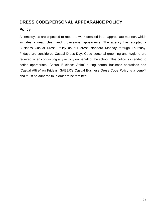# <span id="page-28-0"></span>**DRESS CODE/PERSONAL APPEARANCE POLICY**

### <span id="page-28-1"></span>**Policy**

All employees are expected to report to work dressed in an appropriate manner, which includes a neat, clean and professional appearance. The agency has adopted a Business Casual Dress Policy as our dress standard Monday through Thursday. Fridays are considered Casual Dress Day. Good personal grooming and hygiene are required when conducting any activity on behalf of the school. This policy is intended to define appropriate "Casual Business Attire" during normal business operations and "Casual Attire" on Fridays. SABER's Casual Business Dress Code Policy is a benefit and must be adhered to in order to be retained.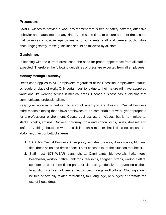#### <span id="page-29-0"></span>**Procedure**

SABER wishes to provide a work environment that is free of safety hazards, offensive behavior and harassment of any kind. At the same time, to ensure a proper dress code that promotes a positive agency image to our clients, staff and general public while encouraging safety, these guidelines should be followed by all staff.

#### <span id="page-29-1"></span>**Guidelines**

In keeping with the current dress code, the need for proper appearance from all staff is expected. Therefore, the following guidelines of dress are expected from all employees:

#### <span id="page-29-2"></span>**Monday through Thursday**

Dress code applies to ALL employees regardless of their position, employment status, schedule or place of work. Only certain positions due to their nature will have approved variations like wearing scrubs in medical areas. Choose business casual clothing that communicates professionalism.

Keep your workday schedule into account when you are dressing. Casual business attire means clothing that allows employees to be comfortable at work, yet appropriate for a professional environment. Casual business attire includes, but is not limited to: slacks, khakis, Chinos, Dockers, corduroy, polo and cotton shirts, skirts, dresses and loafers. Clothing should be worn and fit in such a manner that it does not expose the abdomen, chest or buttocks areas.

- **1.** SABER's Casual Business Attire policy includes dresses, dress slacks, blouses, ties, dress shirts and dress shoes if staff chooses to, or the situation requires it.
- **2.** Staff must NOT WEAR jeans, shorts, Capri pants, bib overalls, halter tops, beachwear, work-out attire, tank tops, tee-shirts, spaghetti straps, work-out attire, spandex or other form-fitting pants or distracting, offensive or revealing clothes. In addition, staff cannot wear athletic shoes, thongs, or flip-flops. Clothing should be free of sexually related references, foul language, or suggest or promote the use of illegal drugs.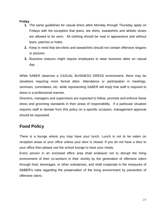#### <span id="page-30-0"></span>**Friday**

- **1.** The same guidelines for casual dress attire Monday through Thursday apply on Fridays with the exception that jeans, tee shirts, sweatshirts and athletic shoes are allowed to be worn. All clothing should be neat in appearance and without tears, patches or holes.
- **2.** Keep in mind that tee-shirts and sweatshirts should not contain offensive slogans or pictures.
- **3.** Business reasons might require employees to wear business attire on casual day.

While SABER observes a CASUAL BUSINESS DRESS environment, there may be situations requiring more formal attire. Attendance or participation in meetings, seminars, committees, etc. while representing SABER will imply that staff is required to dress in a professional manner.

Directors, managers and supervisors are expected to follow, promote and enforce these dress and grooming standards in their areas of responsibility. If a particular situation requires staff to deviate from this policy on a specific occasion, management approval should be requested.

# <span id="page-30-1"></span>**Food Policy**

There is a lounge where you may have your lunch. Lunch is not to be eaten on reception areas or your office unless your door is closed. If you do not have a door to your office then please use the school lounge to have your meals.

Every person in an enclosed office area shall endeavor not to disrupt the living environment of their co-workers in their vicinity by the generation of offensive odors through food, beverages, or other substances, and shall cooperate in the measures of SABER's rules regarding the preservation of the living environment by prevention of offensive odors.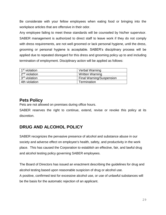Be considerate with your fellow employees when eating food or bringing into the workplace articles that are offensive in their odor.

Any employee failing to meet these standards will be counseled by his/her supervisor. SABER management is authorized to direct staff to leave work if they do not comply with dress requirements, are not well groomed or lack personal hygiene, until the dress, grooming or personal hygiene is acceptable. SABER's disciplinary process will be applied due to repeated disregard for this dress and grooming policy up to and including termination of employment. Disciplinary action will be applied as follows:

| 1 <sup>st</sup> violation | Verbal Warning                  |
|---------------------------|---------------------------------|
| 2 <sup>nd</sup> violation | Written Warning                 |
| 3 <sup>rd</sup> violation | <b>Final Warning/Suspension</b> |
| 4th violation             | Termination                     |

## <span id="page-31-0"></span>**Pets Policy**

Pets are not allowed on premises during office hours.

SABER reserves the right to continue, extend, revise or revoke this policy at its discretion.

# <span id="page-31-1"></span>**DRUG AND ALCOHOL POLICY**

SABER recognizes the pervasive presence of alcohol and substance abuse in our society and adverse effect on employee's health, safety, and productivity in the work place. This has caused the Corporation to establish an effective, fair, and lawful drug and alcohol testing policy governing SABER employees.

The Board of Directors has issued an enactment describing the guidelines for drug and alcohol testing based upon reasonable suspicion of drug or alcohol use.

A positive, confirmed test for excessive alcohol use, or use of unlawful substances will be the basis for the automatic rejection of an applicant.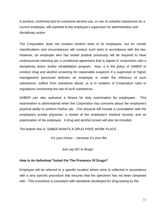A positive, confirmed test for excessive alcohol use, or use of unlawful substances for a current employee, will reported to the employee's supervisor for administrative and disciplinary action.

The Corporation does not conduct random tests of its employees, but for certain classifications and circumstances will conduct such tests in accordance with the law. However, an employee who has tested positive previously will be required to have unannounced retesting per a conditional agreement that is signed in conjunction with a disciplinary action and/or rehabilitation program. Also, it is the policy of SABER to conduct drug and alcohol screening for reasonable suspicion if a supervisor or higher management personnel believes an employee is under the influence of such substances, suffers from substance abuse, or is in violation of Corporation rules or regulations concerning the use of such substances.

SABER can also authorize a fitness for duly examination for employees. This examination is administered when the Corporation has concerns about the employee's physical ability to perform his/her job. This physical will include a consultation with the employee's private physician, a review of the employee's medical records, and an examination of the employee. A drug and alcohol screen will also be included.

The bottom line is: SABER WANTS A DRUG FREE WORK PLACE.

It's your choice -- because it's your life!

Just say NO to drugs!

#### **How Is An Individual Tested For The Presence Of Drugs?**

Employee will be referred to a specific location where urine is collected in accordance with a very specific procedure that ensures that the specimen has not been tampered with. This procedure is consistent with standards developed for drug testing by the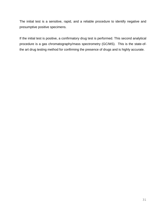The initial test is a sensitive, rapid, and a reliable procedure to identify negative and presumptive positive specimens.

If the initial test is positive, a confirmatory drug test is performed. This second analytical procedure is a gas chromatography/mass spectrometry (GC/MS). This is the state-ofthe art drug testing method for confirming the presence of drugs and is highly accurate.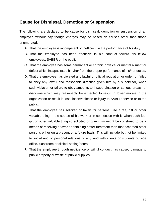### <span id="page-34-0"></span>**Cause for Dismissal, Demotion or Suspension**

The following are declared to be cause for dismissal, demotion or suspension of an employee without pay though charges may be based on causes other than those enumerated:

- **A.** That the employee is incompetent or inefficient in the performance of his duty.
- **B.** That the employee has been offensive in his conduct toward his fellow employees, SABER or the public.
- **C.** That the employee has some permanent or chronic physical or mental ailment or defect which incapacitates him/her from the proper performance of his/her duties.
- **D.** That the employee has violated any lawful or official regulation or order, or failed to obey any lawful and reasonable direction given him by a supervisor, when such violation or failure to obey amounts to insubordination or serious breach of discipline which may reasonably be expected to result in lower morale in the organization or result in loss, inconvenience or injury to SABER service or to the public.
- **E.** That the employee has solicited or taken for personal use a fee, gift or other valuable thing in the course of his work or in connection with it, when such fee, gift or other valuable thing so solicited or given him might be construed to be a means of receiving a favor or obtaining better treatment than that accorded other persons either on a present or a future basis. This will include but not be limited to social and or personal relations of any kind with clients or students outside office, classroom or clinical setting/hours.
- **F.** That the employee through negligence or willful conduct has caused damage to public property or waste of public supplies.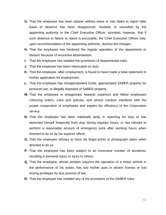- **G.** That the employee has been absent without leave or has failed to report after leave of absence has been disapproved, revoked, or cancelled by the appointing authority or the Chief Executive Officer, provided, however, that if such absence or failure to report is excusable, the Chief Executive Officer may, upon recommendation of the appointing authority, dismiss the charges.
- **H.** That the employee has hindered the regular operation of the department or division because of excessive absenteeism.
- **I.** That the employee has violated the provisions of departmental rules.
- **J.** That the employee has been intoxicated on duty.
- **K.** That the employee, after employment, is found to have made a false statement in his/her application for employment.
- **L.** That the employee has misappropriated funds, appropriated SABER property for personal use, or illegally disposed of SABER property.
- **M.** That the employee is antagonistic towards superiors and fellow employees criticizing orders, rules and policies, and whose conduct interferes with the proper cooperation of employees and impairs the efficiency of the Corporation service.
- **N.** That the employee has been habitually tardy in reporting for duty or has absented himself frequently from duty during regulars hours, or has refused to perform a reasonable amount of emergency work after working hours when directed to do so by his superior officer.
- **O.** That the employee refuses to have his finger-prints or photograph taken when directed to do so.
- **P.** That the employee has been subject to an excessive number of accidents, resulting in personal injury or injury to others.
- **Q.** That the employee, whose position requires the operation of a motor vehicle in the performance of his duties, has lost his/her auto or drivers license or lost driving privileges by due process of law.
- **R.** That the employee has violated any of the provisions of the SABER rules.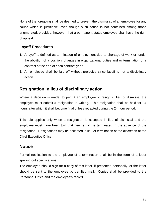None of the foregoing shall be deemed to prevent the dismissal, of an employee for any cause which is justifiable, even though such cause is not contained among those enumerated; provided, however, that a permanent status employee shall have the right of appeal.

### <span id="page-36-0"></span>**Layoff Procedures**

- **1.** A layoff is defined as termination of employment due to shortage of work or funds, the abolition of a position, changes in organizational duties and or termination of a contract at the end of each contract year.
- **2.** An employee shall be laid off without prejudice since layoff is not a disciplinary action.

# <span id="page-36-1"></span>**Resignation in lieu of disciplinary action**

Where a decision is made, to permit an employee to resign in lieu of dismissal the employee must submit a resignation in writing. This resignation shall be held for 24 hours after which it shall become final unless retracted during the 24 hour period.

This rule applies only when a resignation is accepted in lieu of dismissal and the employee must have been told that he/she will be terminated in the absence of the resignation. Resignations may be accepted in lieu of termination at the discretion of the Chief Executive Officer.

## <span id="page-36-2"></span>**Notice**

Formal notification to the employee of a termination shall be in the form of a letter spelling out specifications.

The employee should sign for a copy of this letter, if presented personally, or the letter should be sent to the employee by certified mail. Copies shall be provided to the Personnel Office and the employee's record.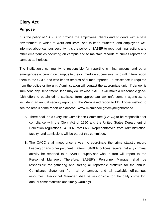### <span id="page-37-0"></span>**Clery Act**

### <span id="page-37-1"></span>**Purpose**

It is the policy of SABER to provide the employees, clients and students with a safe environment in which to work and learn, and to keep students, and employees well informed about campus security. It is the policy of SABER to report criminal actions and other emergencies occurring on campus and to maintain records of crimes reported to campus authorities.

The institution's community is responsible for reporting criminal actions and other emergencies occurring on campus to their immediate supervisors, who will in turn report them to the COO, and who keeps records of crimes reported. If assistance is required from the police or fire unit, Administration will contact the appropriate unit. If danger is imminent, any Department Head may do likewise. SABER will make a reasonable goodfaith effort to obtain crime statistics form appropriate law enforcement agencies, to include in an annual security report and the Web-based report to ED. Those wishing to see the area's crime report can access: www.miamidade.gov/myneighborhood.

- **A.** There shall be a Clery Act Compliance Committee (CACC) to be responsible for compliance with the Clery Act of 1990 and the United States Department of Education regulations 34 CFR Part 668. Representatives from Administration, faculty, and admissions will be part of this committee.
- **B.** The CACC shall meet once a year to coordinate the crime statistic record keeping or any other pertinent matters. SABER policies require that any criminal activity be reported to a SABER supervisor who in turn will report to the Personnel Manager. Therefore, SABER's Personnel Manager shall be responsible for gathering and sorting all reportable statistics for the annual Compliance Statement from all on-campus and all available off-campus resources. Personnel Manager shall be responsible for the daily crime log, annual crime statistics and timely warnings.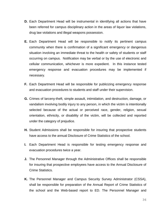- **D.** Each Department Head will be instrumental in identifying all actions that have been referred for campus disciplinary action in the areas of liquor law violations, drug law violations and illegal weapons possession.
- **E.** Each Department Head will be responsible to notify its pertinent campus community when there is confirmation of a significant emergency or dangerous situation involving an immediate threat to the health or safety of students or staff occurring on campus. Notification may be verbal or by the use of electronic and cellular communication, whichever is more expedient. In this instance tested emergency response and evacuation procedures may be implemented if necessary.
- **F.** Each Department Head will be responsible for publicizing emergency response and evacuation procedures to students and staff under their supervision.
- **G.** Crimes of larceny-theft, simple assault, intimidation, and destruction, damage, or vandalism involving bodily injury to any person, in which the victim is intentionally selected because of the actual or perceived race, gender, religion, sexual orientation, ethnicity, or disability of the victim, will be collected and reported under the category of prejudice.
- **H.** Student Admissions shall be responsible for insuring that prospective students have access to the annual Disclosure of Crime Statistics of the school.
- **I.** Each Department Head is responsible for testing emergency response and evacuation procedures twice a year.
- **J.** The Personnel Manager through the Administrative Offices shall be responsible for insuring that prospective employees have access to the Annual Disclosure of Crime Statistics.
- **K.** The Personnel Manager and Campus Security Survey Administrator (CSSA), shall be responsible for preparation of the Annual Report of Crime Statistics of the school and the Web-based report to ED. The Personnel Manager and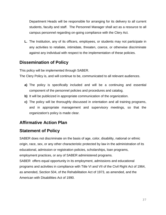Department Heads will be responsible for arranging for its delivery to all current students, faculty and staff. The Personnel Manager shall act as a resource to all campus personnel regarding on-going compliance with the Clery Act.

**L.** The Institution, any of its officers, employees, or students may not participate in any activities to retaliate, intimidate, threaten, coerce, or otherwise discriminate against any individual with respect to the implementation of these policies.

# <span id="page-39-0"></span>**Dissemination of Policy**

This policy will be implemented through SABER.

The Clery Policy is, and will continue to be, communicated to all relevant audiences.

- **a)** The policy is specifically included and will be a continuing and essential component of the personnel policies and procedures and catalog.
- **b)** It will be publicized in appropriate communication of the organization.
- **c)** The policy will be thoroughly discussed in orientation and all training programs, and in appropriate management and supervisory meetings, so that the organization's policy is made clear.

# <span id="page-39-1"></span>**Affirmative Action Plan**

# <span id="page-39-2"></span>**Statement of Policy**

SABER does not discriminate on the basis of age, color, disability, national or ethnic origin, race, sex, or any other characteristic protected by law in the administration of its educational, admission or registration policies, scholarships, loan programs, employment practices, or any of SABER administered programs.

SABER offers equal opportunity in its employment, admissions and educational programs and activities in compliance with Title VI and VII of the Civil Right Act of 1964, as amended, Section 504, of the Rehabilitation Act of 1973, as amended, and the American with Disabilities Act of 1990.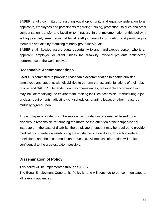SABER is fully committed to assuring equal opportunity and equal consideration to all applicants, employees and participants regarding training, promotion, salaries and other compensation, transfer and layoff or termination. In the implementation of this policy, it will aggressively seek personnel for all staff job levels by upgrading and promoting its members and also by recruiting minority group individuals.

SABER shall likewise assure equal opportunity to any handicapped person who is an applicant, employee or client unless the disability involved prevents satisfactory performance of the work involved.

### <span id="page-40-0"></span>**Reasonable Accommodations**

SABER is committed to providing reasonable accommodation to enable qualified employees and students with disabilities to perform the essential functions of their jobs or to attend SABER. Depending on the circumstances, reasonable accommodation may include modifying the environment, making facilities accessible, restructuring a job or class requirements, adjusting work schedules, granting leave, or other measures mutually agreed upon.

Any employee or student who believes accommodations are needed based upon disability is responsible for bringing the matter to the attention of their supervisor or instructor. In the case of disability, the employee or student may be required to provide medical documentation establishing the existence of a disability, any school-related restrictions, and the accommodation requested. All medical information will be kept confidential to the greatest extent possible.

### <span id="page-40-1"></span>**Dissemination of Policy**

This policy will be implemented through SABER.

The Equal Employment Opportunity Policy is, and will continue to be, communicated to all relevant audiences.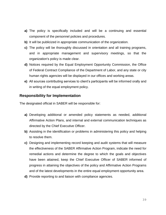- **a)** The policy is specifically included and will be a continuing and essential component of the personnel policies and procedures.
- **b)** It will be publicized in appropriate communication of the organization.
- **c)** The policy will be thoroughly discussed in orientation and all training programs, and in appropriate management and supervisory meetings, so that the organization's policy is made clear.
- **d)** Notices required by the Equal Employment Opportunity Commission, the Office of Federal Contract Compliance of the Department of Labor, and any state or city human rights agencies will be displayed in our offices and working areas.
- **e)** All sources contributing services to client's participants will be informed orally and in writing of the equal employment policy.

#### <span id="page-41-0"></span>**Responsibility for Implementation**

The designated official in SABER will be responsible for:

- **a)** Developing additional or amended policy statements as needed, additional Affirmative Action Plans, and internal and external communication techniques as directed by the Chief Executive Officer.
- **b)** Assisting in the identification or problems in administering this policy and helping to resolve them.
- **c)** Designing and implementing record keeping and audit systems that will measure the effectiveness of the SABER Affirmative Action Program, indicate the need for remedial actions and determine the degree to which the goals and objectives have been attained, keep the Chief Executive Officer of SABER informed of progress in attaining the objectives of the policy and Affirmative Action Programs and of the latest developments in the entire equal employment opportunity area.
- **d)** Provide reporting to and liaison with compliance agencies.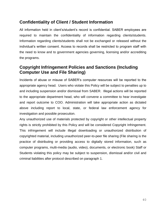# <span id="page-42-0"></span>**Confidentiality of Client / Student Information**

All information held in client's/student's record is confidential. SABER employees are required to maintain the confidentiality of information regarding clients/students. Information regarding clients/students shall not be exchanged or released without the individual's written consent. Access to records shall be restricted to program staff with the need to know and to government agencies governing, licensing and/or accrediting the programs.

# <span id="page-42-1"></span>**Copyright Infringement Policies and Sanctions (Including Computer Use and File Sharing)**

Incidents of abuse or misuse of SABER's computer resources will be reported to the appropriate agency head. Users who violate this Policy will be subject to penalties up to and including suspension and/or dismissal from SABER. Illegal actions will be reported to the appropriate department head, who will convene a committee to hear investigate and report outcome to COO. Administration will take appropriate action as dictated above including report to local, state, or federal law enforcement agency for investigation and possible prosecution.

Any unauthorized use of materials protected by copyright or other intellectual property rights is strictly prohibited by this Policy and will be considered Copyright Infringement. This infringement will include illegal downloading or unauthorized distribution of copyrighted material, including unauthorized peer-to-peer file sharing (File sharing is the practice of distributing or providing access to digitally stored information, such as computer programs, multi-media (audio, video), documents, or electronic book) Staff or Students violating this policy may be subject to suspension, dismissal and/or civil and criminal liabilities after protocol described on paragraph 1.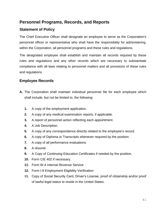# <span id="page-43-0"></span>**Personnel Programs, Records, and Reports**

### <span id="page-43-1"></span>**Statement of Policy**

The Chief Executive Officer shall designate an employee to serve as the Corporation's personnel officer or representative who shall have the responsibility for administering, within the Corporation, all personnel programs and these rules and regulations.

The designated employee shall establish and maintain all records required by these rules and regulations and any other records which are necessary to substantiate compliance with all laws relating to personnel matters and all provisions of these rules and regulations.

### <span id="page-43-2"></span>**Employee Records**

- **A.** The Corporation shall maintain individual personnel file for each employee which shall include, but not be limited to, the following:
	- **1.** A copy of the employment application.
	- **2.** A copy of any medical examination reports, if applicable.
	- **3.** A report of personnel action reflecting each appointment.
	- **4.** A Job Description.
	- **5.** A copy of any correspondence directly related to the employee's record.
	- **6.** A copy of Diploma or Transcripts whenever required by the position.
	- **7.** A copy of all performance evaluations.
	- **8.** A résumé
	- **9.** A Copy of Continuing Education Certificates if needed by the position.
	- **10.** Form CIE 402 if necessary.
	- **11.** Form W-4 Internal Revenue Service
	- **12.** Form I-9 Employment Eligibility Verification
	- **13.** Copy of Social Security Card, Driver's License, proof of citizenship and/or proof of lawful legal status to reside in the United States.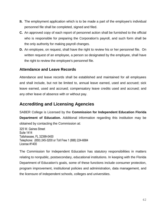- **B.** The employment application which is to be made a part of the employee's individual personnel file shall be completed, signed and filed.
- **C.** An approved copy of each report of personnel action shall be furnished to the official who is responsible for preparing the Corporation's payroll, and such form shall be the only authority for making payroll changes.
- **D.** An employee, on request, shall have the right to review his or her personnel file. On written request of an employee, a person so designated by the employee, shall have the right to review the employee's personnel file.

### <span id="page-44-0"></span>**Attendance and Leave Records**

Attendance and leave records shall be established and maintained for all employees and shall include, but not be limited to, annual leave earned, used and accrued; sick leave earned, used and accrued; compensatory leave credits used and accrued; and any other leave of absence with or without pay.

# <span id="page-44-1"></span>**Accrediting and Licensing Agencies**

SABER College is Licensed by the **Commission for Independent Education Florida Department of Education.** Additional information regarding this institution may be obtained by contacting the Commission at:

325 W. Gaines Street Suite 1414 Tallahassee, FL 32399-0400 Telephone: (850) 245-3200 or Toll Free 1 (888) 224-6684 License #1400

The Commission for Independent Education has statutory responsibilities in matters relating to nonpublic, postsecondary, educational institutions. In keeping with the Florida Department of Education's goals, some of these functions include consumer protection, program improvement, institutional policies and administration, data management, and the licensure of independent schools, colleges and universities.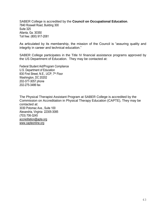SABER College is accredited by the **Council on Occupational Education**. 7840 Roswell Road, Building 300 Suite 325 Atlanta, Ga. 30350 Toll free: (800) 917-2081

As articulated by its membership, the mission of the Council is "assuring quality and integrity in career and technical education."

SABER College participates in the Title IV financial assistance programs approved by the US Department of Education. They may be contacted at:

Federal Student Aid/Program Compliance U.S. Department of Education 830 First Street, N.E., UCP, 7<sup>th</sup> Floor Washington, DC 20202 202-377-3057 phone 202-275-3486 fax

The Physical Therapist Assistant Program at SABER College is accredited by the Commission on Accreditation in Physical Therapy Education (CAPTE), They may be contacted at: 3030 Potomac Ave., Suite 100 Alexandria, Virginia 22305-3085 (703) 706-3245 [accreditation@apta.org](mailto:accreditation@apta.org) www.capteonline.org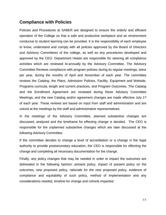### <span id="page-46-0"></span>**Compliance with Policies**

Policies and Procedures at SABER are designed to ensure the orderly and efficient operation of the College so that a safe and productive workplace and an environment conducive to student learning can be provided. It is the responsibility of each employee to know, understand and comply with all policies approved by the Board of Directors and Advisory Committees of the college, as well as any procedures developed and approved by the CEO. Department Heads are responsible for steering all compliance activities which are reviewed bi-annually by the Advisory Committee. The Advisory Committee Reviews compliance with program policies during its regular meetings, twice per year, during the months of April and November of each year. The committee reviews the Catalog, the Plans, Admission Policies, Facility, Equipment and Website, Programs curricula, length and current practices, and Program Outcomes. The Catalog and the Enrollment Agreement are reviewed during these Advisory Committee Meetings, and the new Catalog and/or agreement changes are made effective July 1<sup>st</sup> of each year. These reviews are based on input from staff and administration and are voiced at the meetings by the staff and administrative representatives.

In the meetings of the Advisory Committee, planned substantive changes are discussed, analyzed and the timeframe for effecting change is decided. The CEO is responsible for the unplanned substantive changes which are later discussed at the following Advisory Committee.

If the committee decides to change a level of accreditation or a change in the legal authority to provide postsecondary education, the CEO is responsible for effecting the change and completing all necessary documentation for the change.

Finally, any policy changes that may be needed in order to impact the outcomes are delineated in the following fashion: present policy, impact of present policy on the outcomes, new proposed policy, rationale for the new proposed policy, evidence of compliance and equitability of such policy, method of implementation and any considerations needed, timeline for change and cohorts impacted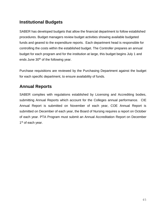# <span id="page-47-0"></span>**Institutional Budgets**

SABER has developed budgets that allow the financial department to follow established procedures. Budget managers review budget activities showing available budgeted funds and geared to the expenditure reports. Each department head is responsible for controlling the costs within the established budget. The Controller prepares an annual budget for each program and for the institution at large, this budget begins July 1 and ends June 30<sup>th</sup> of the following year.

Purchase requisitions are reviewed by the Purchasing Department against the budget for each specific department, to ensure availability of funds.

# <span id="page-47-1"></span>**Annual Reports**

SABER complies with regulations established by Licensing and Accrediting bodies, submitting Annual Reports which account for the Colleges annual performance. CIE Annual Report is submitted on November of each year, COE Annual Report is submitted on December of each year, the Board of Nursing requires a report on October of each year. PTA Program must submit an Annual Accreditation Report on December 1<sup>st</sup> of each year.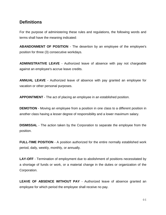### <span id="page-48-0"></span>**Definitions**

For the purpose of administering these rules and regulations, the following words and terms shall have the meaning indicated:

**ABANDONMENT OF POSITION** - The desertion by an employee of the employee's position for three (3) consecutive workdays.

**ADMINISTRATIVE LEAVE** - Authorized leave of absence with pay not chargeable against an employee's accrue leave credits.

**ANNUAL LEAVE** - Authorized leave of absence with pay granted an employee for vacation or other personal purposes.

**APPOINTMENT** - The act of placing an employee in an established position.

**DEMOTION** - Moving an employee from a position in one class to a different position in another class having a lesser degree of responsibility and a lower maximum salary.

**DISMISSAL** - The action taken by the Corporation to separate the employee from the position.

**FULL-TIME POSITION** - A position authorized for the entire normally established work period, daily, weekly, monthly, or annually.

**LAY-OFF** - Termination of employment due to abolishment of positions necessitated by a shortage of funds or work, or a material change in the duties or organization of the Corporation.

**LEAVE OF ABSENCE WITHOUT PAY** - Authorized leave of absence granted an employee for which period the employee shall receive no pay.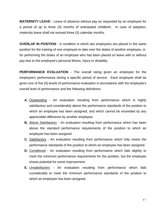**MATERNITY LEAVE** - Leave of absence without pay as requested by an employee for a period of up to three (3) months of anticipated childbirth. In case of adoption, maternity leave shall not exceed three (3) calendar months.

**OVERLAP IN POSITION** - A condition in which two employees are placed in the same position for the training of one employee to take over the duties of another employee, or for performing the duties of an employee who has been placed on leave with or without pay due to the employee's personal illness, injury or disability.

**PERFORMANCE EVALUATION** - The overall rating given an employee for the employee's performance during a specific period of service. Each employee shall be given one of five (5) levels of performance evaluation in accordance with the employee's overall level of performance and the following definitions:

- **A.** Outstanding An evaluation resulting from performance which is highly satisfactory and considerably above the performance standards of the position to which an employee has been assigned, and which cannot be exceeded by any appreciable difference by another employee.
- **B.** Above Satisfactory An evaluation resulting from performance which has been above the standard performance requirements of the position to which an employee has been assigned.
- **C.** Satisfactory An evaluation resulting from performance which fully meets the performance standards of the position to which an employee has been assigned.
- **D.** Conditional An evaluation resulting from performance which fails slightly to meet the minimum performance requirements for the position, but the employee shows potential for some improvement.
- **E.** Unsatisfactory An evaluation resulting from performance which fails considerably to meet the minimum performance standards of the position to which an employee has been assigned.